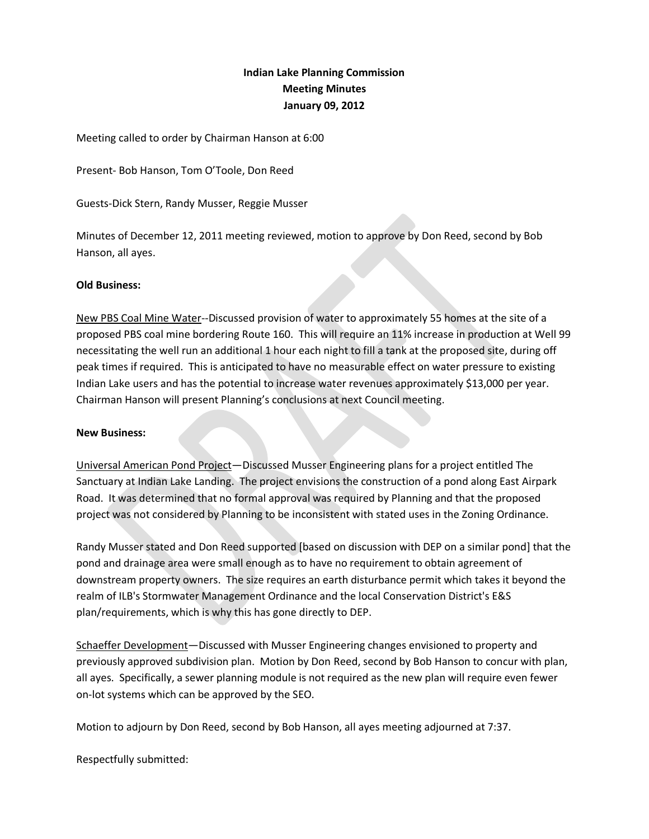## **Indian Lake Planning Commission Meeting Minutes January 09, 2012**

Meeting called to order by Chairman Hanson at 6:00

Present- Bob Hanson, Tom O'Toole, Don Reed

Guests-Dick Stern, Randy Musser, Reggie Musser

Minutes of December 12, 2011 meeting reviewed, motion to approve by Don Reed, second by Bob Hanson, all ayes.

## **Old Business:**

New PBS Coal Mine Water--Discussed provision of water to approximately 55 homes at the site of a proposed PBS coal mine bordering Route 160. This will require an 11% increase in production at Well 99 necessitating the well run an additional 1 hour each night to fill a tank at the proposed site, during off peak times if required. This is anticipated to have no measurable effect on water pressure to existing Indian Lake users and has the potential to increase water revenues approximately \$13,000 per year. Chairman Hanson will present Planning's conclusions at next Council meeting.

## **New Business:**

Universal American Pond Project—Discussed Musser Engineering plans for a project entitled The Sanctuary at Indian Lake Landing. The project envisions the construction of a pond along East Airpark Road. It was determined that no formal approval was required by Planning and that the proposed project was not considered by Planning to be inconsistent with stated uses in the Zoning Ordinance.

Randy Musser stated and Don Reed supported [based on discussion with DEP on a similar pond] that the pond and drainage area were small enough as to have no requirement to obtain agreement of downstream property owners. The size requires an earth disturbance permit which takes it beyond the realm of ILB's Stormwater Management Ordinance and the local Conservation District's E&S plan/requirements, which is why this has gone directly to DEP.

Schaeffer Development—Discussed with Musser Engineering changes envisioned to property and previously approved subdivision plan. Motion by Don Reed, second by Bob Hanson to concur with plan, all ayes. Specifically, a sewer planning module is not required as the new plan will require even fewer on-lot systems which can be approved by the SEO.

Motion to adjourn by Don Reed, second by Bob Hanson, all ayes meeting adjourned at 7:37.

Respectfully submitted: